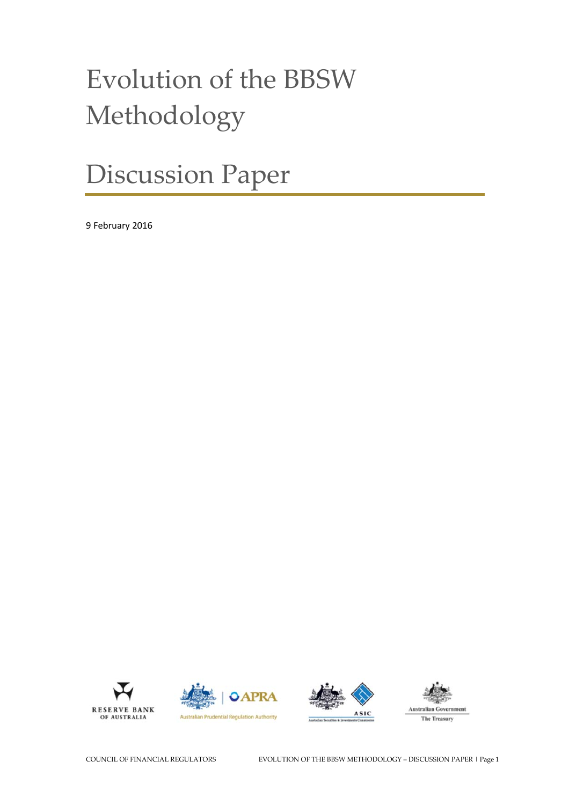# Evolution of the BBSW Methodology

# Discussion Paper

9 February 2016





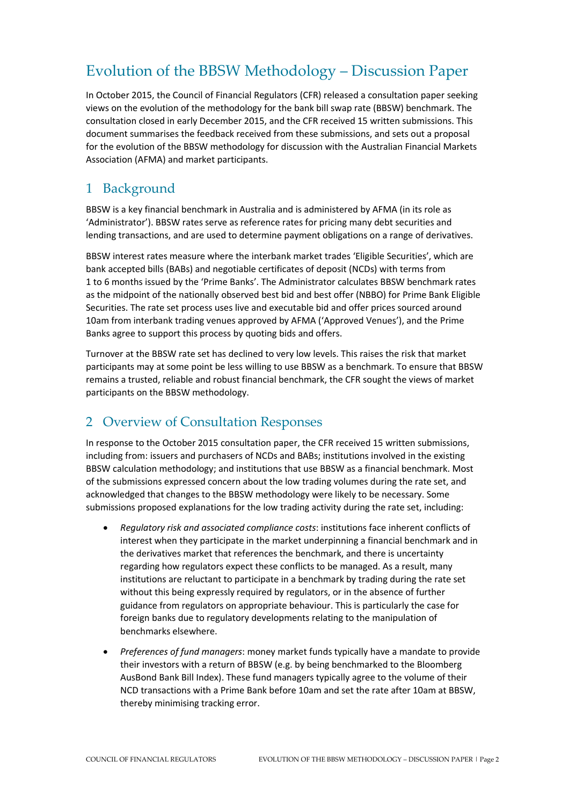# Evolution of the BBSW Methodology – Discussion Paper

In October 2015, the Council of Financial Regulators (CFR) released a consultation paper seeking views on the evolution of the methodology for the bank bill swap rate (BBSW) benchmark. The consultation closed in early December 2015, and the CFR received 15 written submissions. This document summarises the feedback received from these submissions, and sets out a proposal for the evolution of the BBSW methodology for discussion with the Australian Financial Markets Association (AFMA) and market participants.

# 1 Background

BBSW is a key financial benchmark in Australia and is administered by AFMA (in its role as 'Administrator'). BBSW rates serve as reference rates for pricing many debt securities and lending transactions, and are used to determine payment obligations on a range of derivatives.

BBSW interest rates measure where the interbank market trades 'Eligible Securities', which are bank accepted bills (BABs) and negotiable certificates of deposit (NCDs) with terms from 1 to 6 months issued by the 'Prime Banks'. The Administrator calculates BBSW benchmark rates as the midpoint of the nationally observed best bid and best offer (NBBO) for Prime Bank Eligible Securities. The rate set process uses live and executable bid and offer prices sourced around 10am from interbank trading venues approved by AFMA ('Approved Venues'), and the Prime Banks agree to support this process by quoting bids and offers.

Turnover at the BBSW rate set has declined to very low levels. This raises the risk that market participants may at some point be less willing to use BBSW as a benchmark. To ensure that BBSW remains a trusted, reliable and robust financial benchmark, the CFR sought the views of market participants on the BBSW methodology.

# 2 Overview of Consultation Responses

In response to the October 2015 consultation paper, the CFR received 15 written submissions, including from: issuers and purchasers of NCDs and BABs; institutions involved in the existing BBSW calculation methodology; and institutions that use BBSW as a financial benchmark. Most of the submissions expressed concern about the low trading volumes during the rate set, and acknowledged that changes to the BBSW methodology were likely to be necessary. Some submissions proposed explanations for the low trading activity during the rate set, including:

- *Regulatory risk and associated compliance costs*: institutions face inherent conflicts of interest when they participate in the market underpinning a financial benchmark and in the derivatives market that references the benchmark, and there is uncertainty regarding how regulators expect these conflicts to be managed. As a result, many institutions are reluctant to participate in a benchmark by trading during the rate set without this being expressly required by regulators, or in the absence of further guidance from regulators on appropriate behaviour. This is particularly the case for foreign banks due to regulatory developments relating to the manipulation of benchmarks elsewhere.
- *Preferences of fund managers*: money market funds typically have a mandate to provide their investors with a return of BBSW (e.g. by being benchmarked to the Bloomberg AusBond Bank Bill Index). These fund managers typically agree to the volume of their NCD transactions with a Prime Bank before 10am and set the rate after 10am at BBSW, thereby minimising tracking error.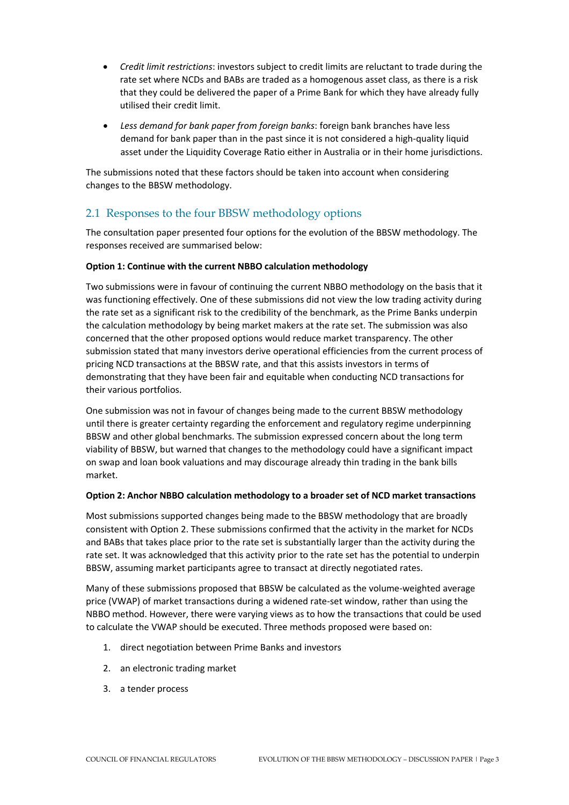- *Credit limit restrictions*: investors subject to credit limits are reluctant to trade during the rate set where NCDs and BABs are traded as a homogenous asset class, as there is a risk that they could be delivered the paper of a Prime Bank for which they have already fully utilised their credit limit.
- *Less demand for bank paper from foreign banks*: foreign bank branches have less demand for bank paper than in the past since it is not considered a high-quality liquid asset under the Liquidity Coverage Ratio either in Australia or in their home jurisdictions.

The submissions noted that these factors should be taken into account when considering changes to the BBSW methodology.

# 2.1 Responses to the four BBSW methodology options

The consultation paper presented four options for the evolution of the BBSW methodology. The responses received are summarised below:

#### **Option 1: Continue with the current NBBO calculation methodology**

Two submissions were in favour of continuing the current NBBO methodology on the basis that it was functioning effectively. One of these submissions did not view the low trading activity during the rate set as a significant risk to the credibility of the benchmark, as the Prime Banks underpin the calculation methodology by being market makers at the rate set. The submission was also concerned that the other proposed options would reduce market transparency. The other submission stated that many investors derive operational efficiencies from the current process of pricing NCD transactions at the BBSW rate, and that this assists investors in terms of demonstrating that they have been fair and equitable when conducting NCD transactions for their various portfolios.

One submission was not in favour of changes being made to the current BBSW methodology until there is greater certainty regarding the enforcement and regulatory regime underpinning BBSW and other global benchmarks. The submission expressed concern about the long term viability of BBSW, but warned that changes to the methodology could have a significant impact on swap and loan book valuations and may discourage already thin trading in the bank bills market.

#### **Option 2: Anchor NBBO calculation methodology to a broader set of NCD market transactions**

Most submissions supported changes being made to the BBSW methodology that are broadly consistent with Option 2. These submissions confirmed that the activity in the market for NCDs and BABs that takes place prior to the rate set is substantially larger than the activity during the rate set. It was acknowledged that this activity prior to the rate set has the potential to underpin BBSW, assuming market participants agree to transact at directly negotiated rates.

Many of these submissions proposed that BBSW be calculated as the volume-weighted average price (VWAP) of market transactions during a widened rate-set window, rather than using the NBBO method. However, there were varying views as to how the transactions that could be used to calculate the VWAP should be executed. Three methods proposed were based on:

- 1. direct negotiation between Prime Banks and investors
- 2. an electronic trading market
- 3. a tender process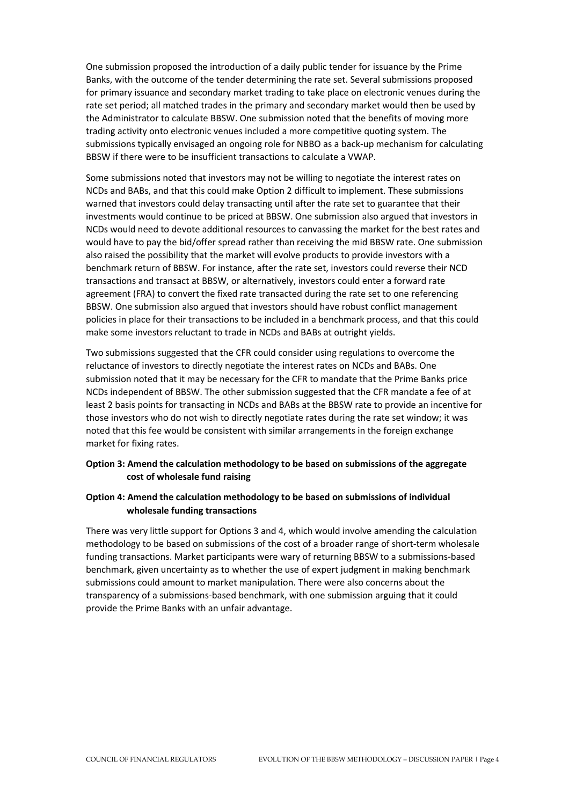One submission proposed the introduction of a daily public tender for issuance by the Prime Banks, with the outcome of the tender determining the rate set. Several submissions proposed for primary issuance and secondary market trading to take place on electronic venues during the rate set period; all matched trades in the primary and secondary market would then be used by the Administrator to calculate BBSW. One submission noted that the benefits of moving more trading activity onto electronic venues included a more competitive quoting system. The submissions typically envisaged an ongoing role for NBBO as a back-up mechanism for calculating BBSW if there were to be insufficient transactions to calculate a VWAP.

Some submissions noted that investors may not be willing to negotiate the interest rates on NCDs and BABs, and that this could make Option 2 difficult to implement. These submissions warned that investors could delay transacting until after the rate set to guarantee that their investments would continue to be priced at BBSW. One submission also argued that investors in NCDs would need to devote additional resources to canvassing the market for the best rates and would have to pay the bid/offer spread rather than receiving the mid BBSW rate. One submission also raised the possibility that the market will evolve products to provide investors with a benchmark return of BBSW. For instance, after the rate set, investors could reverse their NCD transactions and transact at BBSW, or alternatively, investors could enter a forward rate agreement (FRA) to convert the fixed rate transacted during the rate set to one referencing BBSW. One submission also argued that investors should have robust conflict management policies in place for their transactions to be included in a benchmark process, and that this could make some investors reluctant to trade in NCDs and BABs at outright yields.

Two submissions suggested that the CFR could consider using regulations to overcome the reluctance of investors to directly negotiate the interest rates on NCDs and BABs. One submission noted that it may be necessary for the CFR to mandate that the Prime Banks price NCDs independent of BBSW. The other submission suggested that the CFR mandate a fee of at least 2 basis points for transacting in NCDs and BABs at the BBSW rate to provide an incentive for those investors who do not wish to directly negotiate rates during the rate set window; it was noted that this fee would be consistent with similar arrangements in the foreign exchange market for fixing rates.

#### **Option 3: Amend the calculation methodology to be based on submissions of the aggregate cost of wholesale fund raising**

#### **Option 4: Amend the calculation methodology to be based on submissions of individual wholesale funding transactions**

There was very little support for Options 3 and 4, which would involve amending the calculation methodology to be based on submissions of the cost of a broader range of short-term wholesale funding transactions. Market participants were wary of returning BBSW to a submissions-based benchmark, given uncertainty as to whether the use of expert judgment in making benchmark submissions could amount to market manipulation. There were also concerns about the transparency of a submissions-based benchmark, with one submission arguing that it could provide the Prime Banks with an unfair advantage.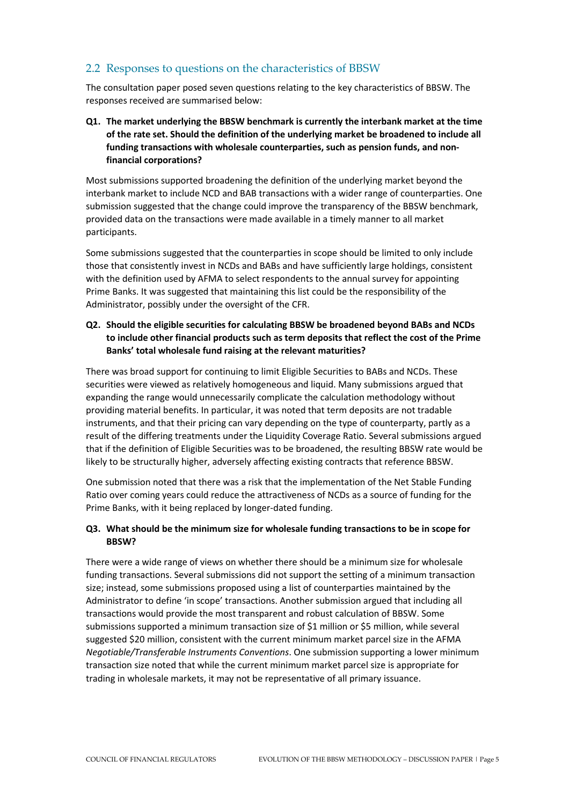# 2.2 Responses to questions on the characteristics of BBSW

The consultation paper posed seven questions relating to the key characteristics of BBSW. The responses received are summarised below:

### **Q1. The market underlying the BBSW benchmark is currently the interbank market at the time of the rate set. Should the definition of the underlying market be broadened to include all funding transactions with wholesale counterparties, such as pension funds, and nonfinancial corporations?**

Most submissions supported broadening the definition of the underlying market beyond the interbank market to include NCD and BAB transactions with a wider range of counterparties. One submission suggested that the change could improve the transparency of the BBSW benchmark, provided data on the transactions were made available in a timely manner to all market participants.

Some submissions suggested that the counterparties in scope should be limited to only include those that consistently invest in NCDs and BABs and have sufficiently large holdings, consistent with the definition used by AFMA to select respondents to the annual survey for appointing Prime Banks. It was suggested that maintaining this list could be the responsibility of the Administrator, possibly under the oversight of the CFR.

#### **Q2. Should the eligible securities for calculating BBSW be broadened beyond BABs and NCDs to include other financial products such as term deposits that reflect the cost of the Prime Banks' total wholesale fund raising at the relevant maturities?**

There was broad support for continuing to limit Eligible Securities to BABs and NCDs. These securities were viewed as relatively homogeneous and liquid. Many submissions argued that expanding the range would unnecessarily complicate the calculation methodology without providing material benefits. In particular, it was noted that term deposits are not tradable instruments, and that their pricing can vary depending on the type of counterparty, partly as a result of the differing treatments under the Liquidity Coverage Ratio. Several submissions argued that if the definition of Eligible Securities was to be broadened, the resulting BBSW rate would be likely to be structurally higher, adversely affecting existing contracts that reference BBSW.

One submission noted that there was a risk that the implementation of the Net Stable Funding Ratio over coming years could reduce the attractiveness of NCDs as a source of funding for the Prime Banks, with it being replaced by longer-dated funding.

#### **Q3. What should be the minimum size for wholesale funding transactions to be in scope for BBSW?**

There were a wide range of views on whether there should be a minimum size for wholesale funding transactions. Several submissions did not support the setting of a minimum transaction size; instead, some submissions proposed using a list of counterparties maintained by the Administrator to define 'in scope' transactions. Another submission argued that including all transactions would provide the most transparent and robust calculation of BBSW. Some submissions supported a minimum transaction size of \$1 million or \$5 million, while several suggested \$20 million, consistent with the current minimum market parcel size in the AFMA *Negotiable/Transferable Instruments Conventions*. One submission supporting a lower minimum transaction size noted that while the current minimum market parcel size is appropriate for trading in wholesale markets, it may not be representative of all primary issuance.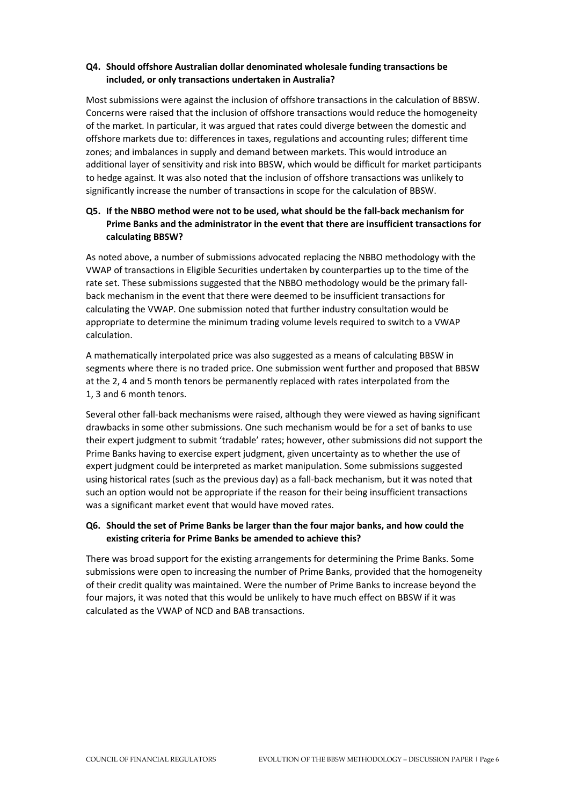#### **Q4. Should offshore Australian dollar denominated wholesale funding transactions be included, or only transactions undertaken in Australia?**

Most submissions were against the inclusion of offshore transactions in the calculation of BBSW. Concerns were raised that the inclusion of offshore transactions would reduce the homogeneity of the market. In particular, it was argued that rates could diverge between the domestic and offshore markets due to: differences in taxes, regulations and accounting rules; different time zones; and imbalances in supply and demand between markets. This would introduce an additional layer of sensitivity and risk into BBSW, which would be difficult for market participants to hedge against. It was also noted that the inclusion of offshore transactions was unlikely to significantly increase the number of transactions in scope for the calculation of BBSW.

### **Q5. If the NBBO method were not to be used, what should be the fall-back mechanism for Prime Banks and the administrator in the event that there are insufficient transactions for calculating BBSW?**

As noted above, a number of submissions advocated replacing the NBBO methodology with the VWAP of transactions in Eligible Securities undertaken by counterparties up to the time of the rate set. These submissions suggested that the NBBO methodology would be the primary fallback mechanism in the event that there were deemed to be insufficient transactions for calculating the VWAP. One submission noted that further industry consultation would be appropriate to determine the minimum trading volume levels required to switch to a VWAP calculation.

A mathematically interpolated price was also suggested as a means of calculating BBSW in segments where there is no traded price. One submission went further and proposed that BBSW at the 2, 4 and 5 month tenors be permanently replaced with rates interpolated from the 1, 3 and 6 month tenors.

Several other fall-back mechanisms were raised, although they were viewed as having significant drawbacks in some other submissions. One such mechanism would be for a set of banks to use their expert judgment to submit 'tradable' rates; however, other submissions did not support the Prime Banks having to exercise expert judgment, given uncertainty as to whether the use of expert judgment could be interpreted as market manipulation. Some submissions suggested using historical rates (such as the previous day) as a fall-back mechanism, but it was noted that such an option would not be appropriate if the reason for their being insufficient transactions was a significant market event that would have moved rates.

#### **Q6. Should the set of Prime Banks be larger than the four major banks, and how could the existing criteria for Prime Banks be amended to achieve this?**

There was broad support for the existing arrangements for determining the Prime Banks. Some submissions were open to increasing the number of Prime Banks, provided that the homogeneity of their credit quality was maintained. Were the number of Prime Banks to increase beyond the four majors, it was noted that this would be unlikely to have much effect on BBSW if it was calculated as the VWAP of NCD and BAB transactions.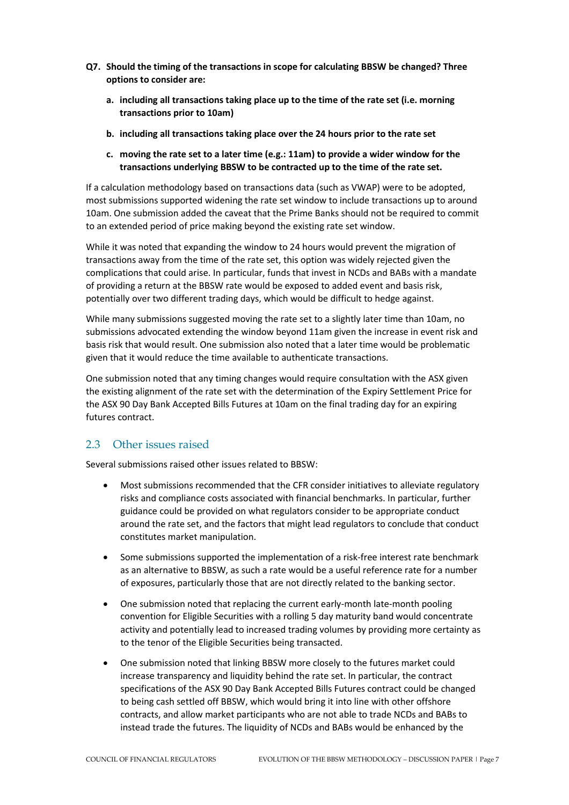- **Q7. Should the timing of the transactions in scope for calculating BBSW be changed? Three options to consider are:**
	- **a. including all transactions taking place up to the time of the rate set (i.e. morning transactions prior to 10am)**
	- **b. including all transactions taking place over the 24 hours prior to the rate set**
	- **c. moving the rate set to a later time (e.g.: 11am) to provide a wider window for the transactions underlying BBSW to be contracted up to the time of the rate set.**

If a calculation methodology based on transactions data (such as VWAP) were to be adopted, most submissions supported widening the rate set window to include transactions up to around 10am. One submission added the caveat that the Prime Banks should not be required to commit to an extended period of price making beyond the existing rate set window.

While it was noted that expanding the window to 24 hours would prevent the migration of transactions away from the time of the rate set, this option was widely rejected given the complications that could arise. In particular, funds that invest in NCDs and BABs with a mandate of providing a return at the BBSW rate would be exposed to added event and basis risk, potentially over two different trading days, which would be difficult to hedge against.

While many submissions suggested moving the rate set to a slightly later time than 10am, no submissions advocated extending the window beyond 11am given the increase in event risk and basis risk that would result. One submission also noted that a later time would be problematic given that it would reduce the time available to authenticate transactions.

One submission noted that any timing changes would require consultation with the ASX given the existing alignment of the rate set with the determination of the Expiry Settlement Price for the ASX 90 Day Bank Accepted Bills Futures at 10am on the final trading day for an expiring futures contract.

### 2.3 Other issues raised

Several submissions raised other issues related to BBSW:

- Most submissions recommended that the CFR consider initiatives to alleviate regulatory risks and compliance costs associated with financial benchmarks. In particular, further guidance could be provided on what regulators consider to be appropriate conduct around the rate set, and the factors that might lead regulators to conclude that conduct constitutes market manipulation.
- Some submissions supported the implementation of a risk-free interest rate benchmark as an alternative to BBSW, as such a rate would be a useful reference rate for a number of exposures, particularly those that are not directly related to the banking sector.
- One submission noted that replacing the current early-month late-month pooling convention for Eligible Securities with a rolling 5 day maturity band would concentrate activity and potentially lead to increased trading volumes by providing more certainty as to the tenor of the Eligible Securities being transacted.
- One submission noted that linking BBSW more closely to the futures market could increase transparency and liquidity behind the rate set. In particular, the contract specifications of the ASX 90 Day Bank Accepted Bills Futures contract could be changed to being cash settled off BBSW, which would bring it into line with other offshore contracts, and allow market participants who are not able to trade NCDs and BABs to instead trade the futures. The liquidity of NCDs and BABs would be enhanced by the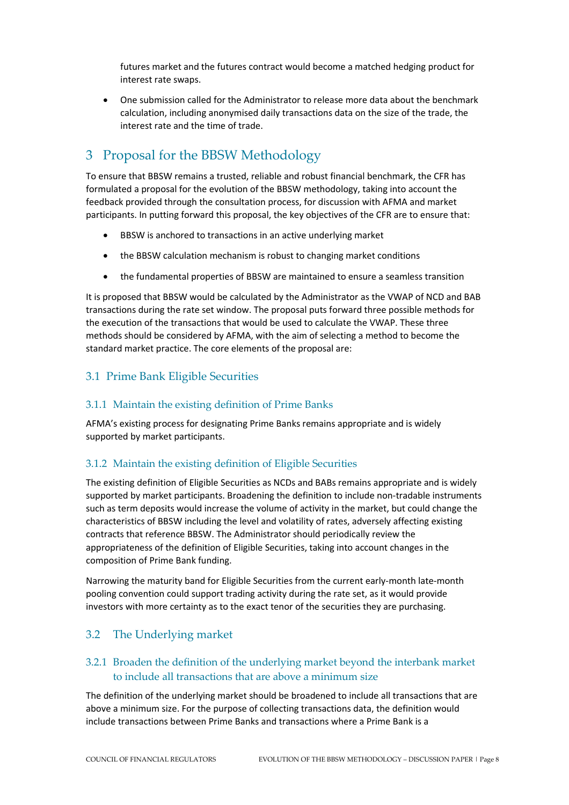futures market and the futures contract would become a matched hedging product for interest rate swaps.

• One submission called for the Administrator to release more data about the benchmark calculation, including anonymised daily transactions data on the size of the trade, the interest rate and the time of trade.

# 3 Proposal for the BBSW Methodology

To ensure that BBSW remains a trusted, reliable and robust financial benchmark, the CFR has formulated a proposal for the evolution of the BBSW methodology, taking into account the feedback provided through the consultation process, for discussion with AFMA and market participants. In putting forward this proposal, the key objectives of the CFR are to ensure that:

- BBSW is anchored to transactions in an active underlying market
- the BBSW calculation mechanism is robust to changing market conditions
- the fundamental properties of BBSW are maintained to ensure a seamless transition

It is proposed that BBSW would be calculated by the Administrator as the VWAP of NCD and BAB transactions during the rate set window. The proposal puts forward three possible methods for the execution of the transactions that would be used to calculate the VWAP. These three methods should be considered by AFMA, with the aim of selecting a method to become the standard market practice. The core elements of the proposal are:

## 3.1 Prime Bank Eligible Securities

#### 3.1.1 Maintain the existing definition of Prime Banks

AFMA's existing process for designating Prime Banks remains appropriate and is widely supported by market participants.

#### 3.1.2 Maintain the existing definition of Eligible Securities

The existing definition of Eligible Securities as NCDs and BABs remains appropriate and is widely supported by market participants. Broadening the definition to include non-tradable instruments such as term deposits would increase the volume of activity in the market, but could change the characteristics of BBSW including the level and volatility of rates, adversely affecting existing contracts that reference BBSW. The Administrator should periodically review the appropriateness of the definition of Eligible Securities, taking into account changes in the composition of Prime Bank funding.

Narrowing the maturity band for Eligible Securities from the current early-month late-month pooling convention could support trading activity during the rate set, as it would provide investors with more certainty as to the exact tenor of the securities they are purchasing.

# 3.2 The Underlying market

## 3.2.1 Broaden the definition of the underlying market beyond the interbank market to include all transactions that are above a minimum size

The definition of the underlying market should be broadened to include all transactions that are above a minimum size. For the purpose of collecting transactions data, the definition would include transactions between Prime Banks and transactions where a Prime Bank is a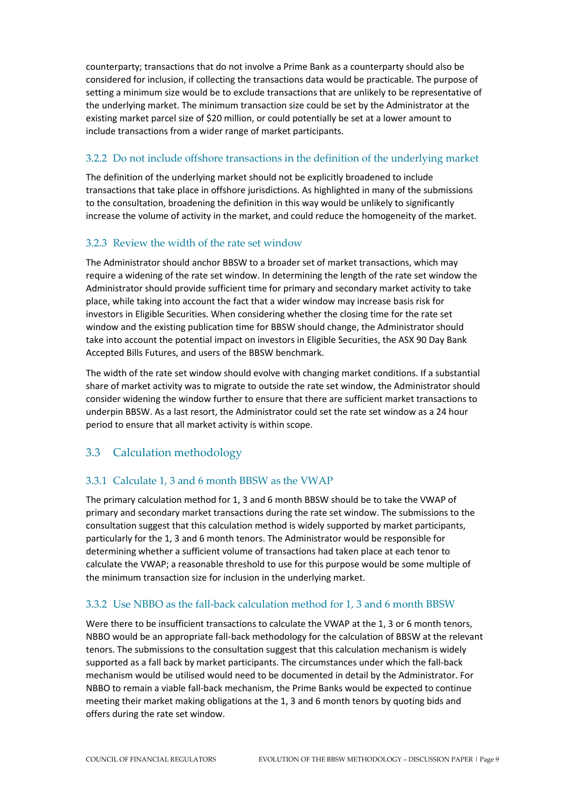counterparty; transactions that do not involve a Prime Bank as a counterparty should also be considered for inclusion, if collecting the transactions data would be practicable. The purpose of setting a minimum size would be to exclude transactions that are unlikely to be representative of the underlying market. The minimum transaction size could be set by the Administrator at the existing market parcel size of \$20 million, or could potentially be set at a lower amount to include transactions from a wider range of market participants.

## 3.2.2 Do not include offshore transactions in the definition of the underlying market

The definition of the underlying market should not be explicitly broadened to include transactions that take place in offshore jurisdictions. As highlighted in many of the submissions to the consultation, broadening the definition in this way would be unlikely to significantly increase the volume of activity in the market, and could reduce the homogeneity of the market.

### 3.2.3 Review the width of the rate set window

The Administrator should anchor BBSW to a broader set of market transactions, which may require a widening of the rate set window. In determining the length of the rate set window the Administrator should provide sufficient time for primary and secondary market activity to take place, while taking into account the fact that a wider window may increase basis risk for investors in Eligible Securities. When considering whether the closing time for the rate set window and the existing publication time for BBSW should change, the Administrator should take into account the potential impact on investors in Eligible Securities, the ASX 90 Day Bank Accepted Bills Futures, and users of the BBSW benchmark.

The width of the rate set window should evolve with changing market conditions. If a substantial share of market activity was to migrate to outside the rate set window, the Administrator should consider widening the window further to ensure that there are sufficient market transactions to underpin BBSW. As a last resort, the Administrator could set the rate set window as a 24 hour period to ensure that all market activity is within scope.

# 3.3 Calculation methodology

# 3.3.1 Calculate 1, 3 and 6 month BBSW as the VWAP

The primary calculation method for 1, 3 and 6 month BBSW should be to take the VWAP of primary and secondary market transactions during the rate set window. The submissions to the consultation suggest that this calculation method is widely supported by market participants, particularly for the 1, 3 and 6 month tenors. The Administrator would be responsible for determining whether a sufficient volume of transactions had taken place at each tenor to calculate the VWAP; a reasonable threshold to use for this purpose would be some multiple of the minimum transaction size for inclusion in the underlying market.

# 3.3.2 Use NBBO as the fall-back calculation method for 1, 3 and 6 month BBSW

Were there to be insufficient transactions to calculate the VWAP at the 1, 3 or 6 month tenors, NBBO would be an appropriate fall-back methodology for the calculation of BBSW at the relevant tenors. The submissions to the consultation suggest that this calculation mechanism is widely supported as a fall back by market participants. The circumstances under which the fall-back mechanism would be utilised would need to be documented in detail by the Administrator. For NBBO to remain a viable fall-back mechanism, the Prime Banks would be expected to continue meeting their market making obligations at the 1, 3 and 6 month tenors by quoting bids and offers during the rate set window.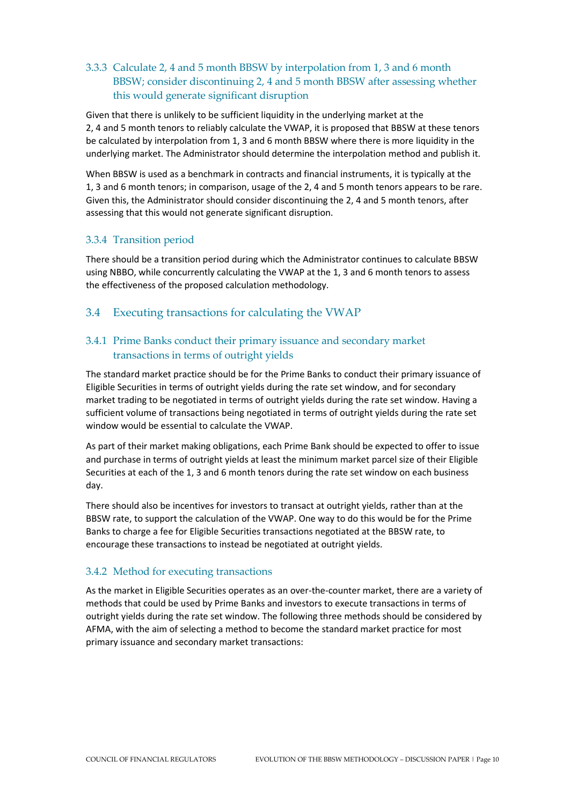# 3.3.3 Calculate 2, 4 and 5 month BBSW by interpolation from 1, 3 and 6 month BBSW; consider discontinuing 2, 4 and 5 month BBSW after assessing whether this would generate significant disruption

Given that there is unlikely to be sufficient liquidity in the underlying market at the 2, 4 and 5 month tenors to reliably calculate the VWAP, it is proposed that BBSW at these tenors be calculated by interpolation from 1, 3 and 6 month BBSW where there is more liquidity in the underlying market. The Administrator should determine the interpolation method and publish it.

When BBSW is used as a benchmark in contracts and financial instruments, it is typically at the 1, 3 and 6 month tenors; in comparison, usage of the 2, 4 and 5 month tenors appears to be rare. Given this, the Administrator should consider discontinuing the 2, 4 and 5 month tenors, after assessing that this would not generate significant disruption.

### 3.3.4 Transition period

There should be a transition period during which the Administrator continues to calculate BBSW using NBBO, while concurrently calculating the VWAP at the 1, 3 and 6 month tenors to assess the effectiveness of the proposed calculation methodology.

### 3.4 Executing transactions for calculating the VWAP

## 3.4.1 Prime Banks conduct their primary issuance and secondary market transactions in terms of outright yields

The standard market practice should be for the Prime Banks to conduct their primary issuance of Eligible Securities in terms of outright yields during the rate set window, and for secondary market trading to be negotiated in terms of outright yields during the rate set window. Having a sufficient volume of transactions being negotiated in terms of outright yields during the rate set window would be essential to calculate the VWAP.

As part of their market making obligations, each Prime Bank should be expected to offer to issue and purchase in terms of outright yields at least the minimum market parcel size of their Eligible Securities at each of the 1, 3 and 6 month tenors during the rate set window on each business day.

There should also be incentives for investors to transact at outright yields, rather than at the BBSW rate, to support the calculation of the VWAP. One way to do this would be for the Prime Banks to charge a fee for Eligible Securities transactions negotiated at the BBSW rate, to encourage these transactions to instead be negotiated at outright yields.

#### 3.4.2 Method for executing transactions

As the market in Eligible Securities operates as an over-the-counter market, there are a variety of methods that could be used by Prime Banks and investors to execute transactions in terms of outright yields during the rate set window. The following three methods should be considered by AFMA, with the aim of selecting a method to become the standard market practice for most primary issuance and secondary market transactions: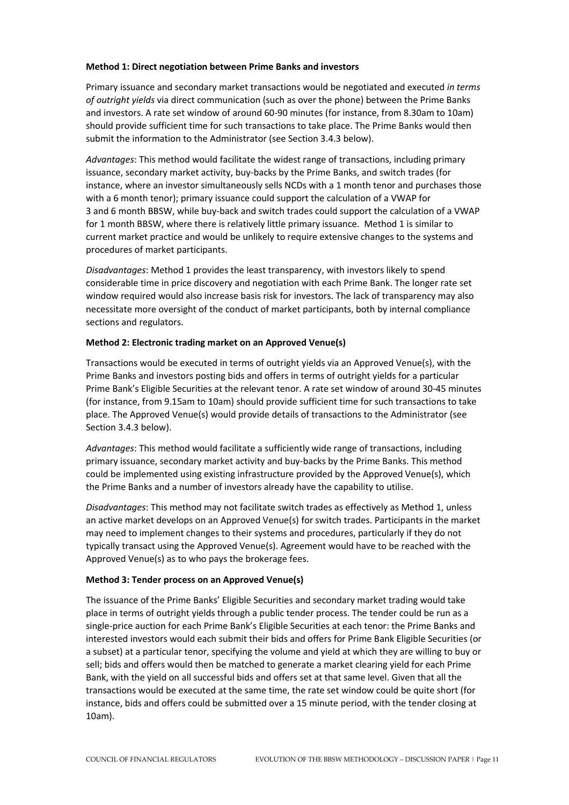#### **Method 1: Direct negotiation between Prime Banks and investors**

Primary issuance and secondary market transactions would be negotiated and executed *in terms of outright yields* via direct communication (such as over the phone) between the Prime Banks and investors. A rate set window of around 60-90 minutes (for instance, from 8.30am to 10am) should provide sufficient time for such transactions to take place. The Prime Banks would then submit the information to the Administrator (see Section 3.4.3 below).

*Advantages*: This method would facilitate the widest range of transactions, including primary issuance, secondary market activity, buy-backs by the Prime Banks, and switch trades (for instance, where an investor simultaneously sells NCDs with a 1 month tenor and purchases those with a 6 month tenor); primary issuance could support the calculation of a VWAP for 3 and 6 month BBSW, while buy-back and switch trades could support the calculation of a VWAP for 1 month BBSW, where there is relatively little primary issuance. Method 1 is similar to current market practice and would be unlikely to require extensive changes to the systems and procedures of market participants.

*Disadvantages*: Method 1 provides the least transparency, with investors likely to spend considerable time in price discovery and negotiation with each Prime Bank. The longer rate set window required would also increase basis risk for investors. The lack of transparency may also necessitate more oversight of the conduct of market participants, both by internal compliance sections and regulators.

#### **Method 2: Electronic trading market on an Approved Venue(s)**

Transactions would be executed in terms of outright yields via an Approved Venue(s), with the Prime Banks and investors posting bids and offers in terms of outright yields for a particular Prime Bank's Eligible Securities at the relevant tenor. A rate set window of around 30-45 minutes (for instance, from 9.15am to 10am) should provide sufficient time for such transactions to take place. The Approved Venue(s) would provide details of transactions to the Administrator (see Section 3.4.3 below).

*Advantages*: This method would facilitate a sufficiently wide range of transactions, including primary issuance, secondary market activity and buy-backs by the Prime Banks. This method could be implemented using existing infrastructure provided by the Approved Venue(s), which the Prime Banks and a number of investors already have the capability to utilise.

*Disadvantages*: This method may not facilitate switch trades as effectively as Method 1, unless an active market develops on an Approved Venue(s) for switch trades. Participants in the market may need to implement changes to their systems and procedures, particularly if they do not typically transact using the Approved Venue(s). Agreement would have to be reached with the Approved Venue(s) as to who pays the brokerage fees.

#### **Method 3: Tender process on an Approved Venue(s)**

The issuance of the Prime Banks' Eligible Securities and secondary market trading would take place in terms of outright yields through a public tender process. The tender could be run as a single-price auction for each Prime Bank's Eligible Securities at each tenor: the Prime Banks and interested investors would each submit their bids and offers for Prime Bank Eligible Securities (or a subset) at a particular tenor, specifying the volume and yield at which they are willing to buy or sell; bids and offers would then be matched to generate a market clearing yield for each Prime Bank, with the yield on all successful bids and offers set at that same level. Given that all the transactions would be executed at the same time, the rate set window could be quite short (for instance, bids and offers could be submitted over a 15 minute period, with the tender closing at 10am).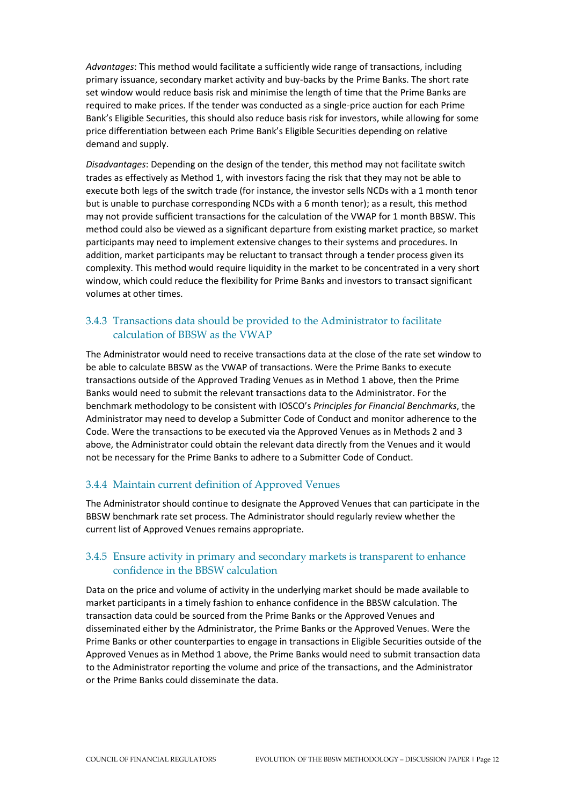*Advantages*: This method would facilitate a sufficiently wide range of transactions, including primary issuance, secondary market activity and buy-backs by the Prime Banks. The short rate set window would reduce basis risk and minimise the length of time that the Prime Banks are required to make prices. If the tender was conducted as a single-price auction for each Prime Bank's Eligible Securities, this should also reduce basis risk for investors, while allowing for some price differentiation between each Prime Bank's Eligible Securities depending on relative demand and supply.

*Disadvantages*: Depending on the design of the tender, this method may not facilitate switch trades as effectively as Method 1, with investors facing the risk that they may not be able to execute both legs of the switch trade (for instance, the investor sells NCDs with a 1 month tenor but is unable to purchase corresponding NCDs with a 6 month tenor); as a result, this method may not provide sufficient transactions for the calculation of the VWAP for 1 month BBSW. This method could also be viewed as a significant departure from existing market practice, so market participants may need to implement extensive changes to their systems and procedures. In addition, market participants may be reluctant to transact through a tender process given its complexity. This method would require liquidity in the market to be concentrated in a very short window, which could reduce the flexibility for Prime Banks and investors to transact significant volumes at other times.

## 3.4.3 Transactions data should be provided to the Administrator to facilitate calculation of BBSW as the VWAP

The Administrator would need to receive transactions data at the close of the rate set window to be able to calculate BBSW as the VWAP of transactions. Were the Prime Banks to execute transactions outside of the Approved Trading Venues as in Method 1 above, then the Prime Banks would need to submit the relevant transactions data to the Administrator. For the benchmark methodology to be consistent with IOSCO's *Principles for Financial Benchmarks*, the Administrator may need to develop a Submitter Code of Conduct and monitor adherence to the Code. Were the transactions to be executed via the Approved Venues as in Methods 2 and 3 above, the Administrator could obtain the relevant data directly from the Venues and it would not be necessary for the Prime Banks to adhere to a Submitter Code of Conduct.

#### 3.4.4 Maintain current definition of Approved Venues

The Administrator should continue to designate the Approved Venues that can participate in the BBSW benchmark rate set process. The Administrator should regularly review whether the current list of Approved Venues remains appropriate.

### 3.4.5 Ensure activity in primary and secondary markets is transparent to enhance confidence in the BBSW calculation

Data on the price and volume of activity in the underlying market should be made available to market participants in a timely fashion to enhance confidence in the BBSW calculation. The transaction data could be sourced from the Prime Banks or the Approved Venues and disseminated either by the Administrator, the Prime Banks or the Approved Venues. Were the Prime Banks or other counterparties to engage in transactions in Eligible Securities outside of the Approved Venues as in Method 1 above, the Prime Banks would need to submit transaction data to the Administrator reporting the volume and price of the transactions, and the Administrator or the Prime Banks could disseminate the data.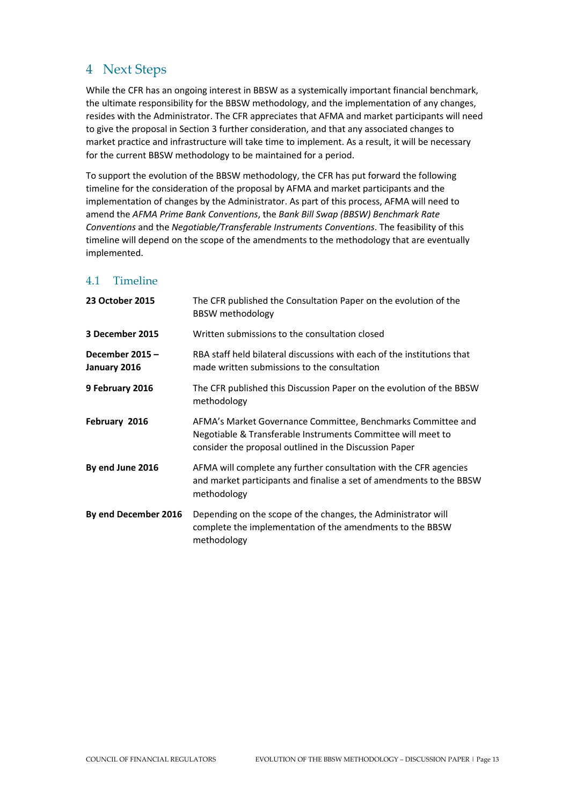# 4 Next Steps

While the CFR has an ongoing interest in BBSW as a systemically important financial benchmark, the ultimate responsibility for the BBSW methodology, and the implementation of any changes, resides with the Administrator. The CFR appreciates that AFMA and market participants will need to give the proposal in Section 3 further consideration, and that any associated changes to market practice and infrastructure will take time to implement. As a result, it will be necessary for the current BBSW methodology to be maintained for a period.

To support the evolution of the BBSW methodology, the CFR has put forward the following timeline for the consideration of the proposal by AFMA and market participants and the implementation of changes by the Administrator. As part of this process, AFMA will need to amend the *AFMA Prime Bank Conventions*, the *Bank Bill Swap (BBSW) Benchmark Rate Conventions* and the *Negotiable/Transferable Instruments Conventions*. The feasibility of this timeline will depend on the scope of the amendments to the methodology that are eventually implemented.

# 4.1 Timeline

| 23 October 2015                | The CFR published the Consultation Paper on the evolution of the<br><b>BBSW</b> methodology                                                                                            |
|--------------------------------|----------------------------------------------------------------------------------------------------------------------------------------------------------------------------------------|
| 3 December 2015                | Written submissions to the consultation closed                                                                                                                                         |
| December 2015-<br>January 2016 | RBA staff held bilateral discussions with each of the institutions that<br>made written submissions to the consultation                                                                |
| 9 February 2016                | The CFR published this Discussion Paper on the evolution of the BBSW<br>methodology                                                                                                    |
| February 2016                  | AFMA's Market Governance Committee, Benchmarks Committee and<br>Negotiable & Transferable Instruments Committee will meet to<br>consider the proposal outlined in the Discussion Paper |
| By end June 2016               | AFMA will complete any further consultation with the CFR agencies<br>and market participants and finalise a set of amendments to the BBSW<br>methodology                               |
| By end December 2016           | Depending on the scope of the changes, the Administrator will<br>complete the implementation of the amendments to the BBSW<br>methodology                                              |